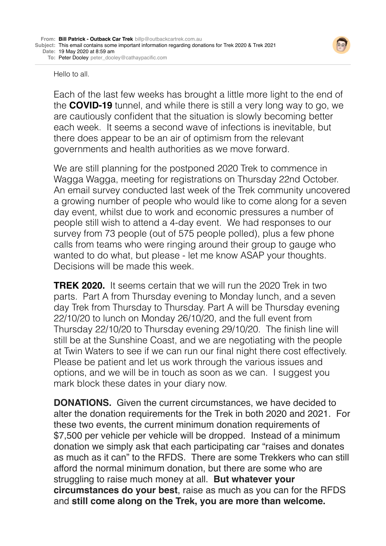

Hello to all.

Each of the last few weeks has brought a little more light to the end of the **COVID-19** tunnel, and while there is still a very long way to go, we are cautiously confident that the situation is slowly becoming better each week. It seems a second wave of infections is inevitable, but there does appear to be an air of optimism from the relevant governments and health authorities as we move forward.

We are still planning for the postponed 2020 Trek to commence in Wagga Wagga, meeting for registrations on Thursday 22nd October. An email survey conducted last week of the Trek community uncovered a growing number of people who would like to come along for a seven day event, whilst due to work and economic pressures a number of people still wish to attend a 4-day event. We had responses to our survey from 73 people (out of 575 people polled), plus a few phone calls from teams who were ringing around their group to gauge who wanted to do what, but please - let me know ASAP your thoughts. Decisions will be made this week.

**TREK 2020.** It seems certain that we will run the 2020 Trek in two parts. Part A from Thursday evening to Monday lunch, and a seven day Trek from Thursday to Thursday. Part A will be Thursday evening 22/10/20 to lunch on Monday 26/10/20, and the full event from Thursday 22/10/20 to Thursday evening 29/10/20. The finish line will still be at the Sunshine Coast, and we are negotiating with the people at Twin Waters to see if we can run our final night there cost effectively. Please be patient and let us work through the various issues and options, and we will be in touch as soon as we can. I suggest you mark block these dates in your diary now.

**DONATIONS.** Given the current circumstances, we have decided to alter the donation requirements for the Trek in both 2020 and 2021. For these two events, the current minimum donation requirements of \$7,500 per vehicle per vehicle will be dropped. Instead of a minimum donation we simply ask that each participating car "raises and donates as much as it can" to the RFDS. There are some Trekkers who can still afford the normal minimum donation, but there are some who are struggling to raise much money at all. **But whatever your circumstances do your best**, raise as much as you can for the RFDS and **still come along on the Trek, you are more than welcome.**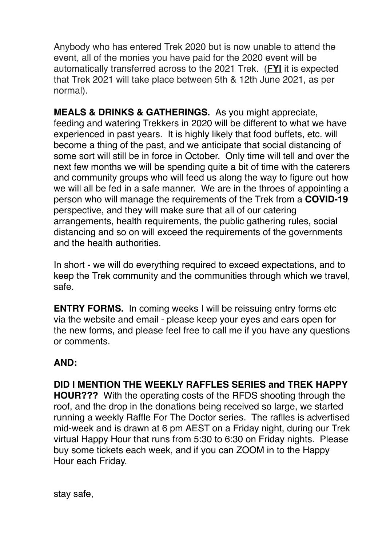Anybody who has entered Trek 2020 but is now unable to attend the event, all of the monies you have paid for the 2020 event will be automatically transferred across to the 2021 Trek. (**FYI** it is expected that Trek 2021 will take place between 5th & 12th June 2021, as per normal).

**MEALS & DRINKS & GATHERINGS.** As you might appreciate, feeding and watering Trekkers in 2020 will be different to what we have experienced in past years. It is highly likely that food buffets, etc. will become a thing of the past, and we anticipate that social distancing of some sort will still be in force in October. Only time will tell and over the next few months we will be spending quite a bit of time with the caterers and community groups who will feed us along the way to figure out how we will all be fed in a safe manner. We are in the throes of appointing a person who will manage the requirements of the Trek from a **COVID-19** perspective, and they will make sure that all of our catering arrangements, health requirements, the public gathering rules, social distancing and so on will exceed the requirements of the governments and the health authorities.

In short - we will do everything required to exceed expectations, and to keep the Trek community and the communities through which we travel, safe.

**ENTRY FORMS.** In coming weeks I will be reissuing entry forms etc. via the website and email - please keep your eyes and ears open for the new forms, and please feel free to call me if you have any questions or comments.

## **AND:**

**DID I MENTION THE WEEKLY RAFFLES SERIES and TREK HAPPY HOUR???** With the operating costs of the RFDS shooting through the roof, and the drop in the donations being received so large, we started running a weekly Raffle For The Doctor series. The raflles is advertised mid-week and is drawn at 6 pm AEST on a Friday night, during our Trek virtual Happy Hour that runs from 5:30 to 6:30 on Friday nights. Please buy some tickets each week, and if you can ZOOM in to the Happy Hour each Friday.

stay safe,